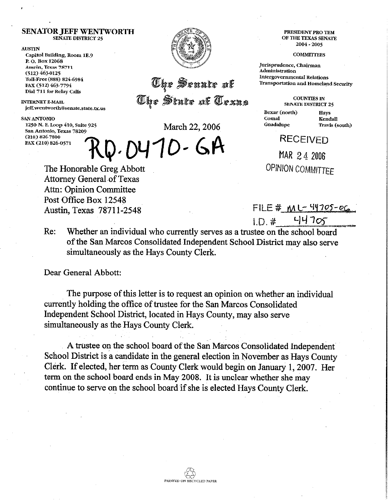## **SENATOR JEFF WENTWORTH SENATE DlSTRlcT 25**

## **ALISTIN**

Capitol Building, Room 1E.9 P. O. Box 12068 Austin, Texas 78711  $(512) 463-0125$ Toll-Free (888) 824-6984 FAX (512) 463-7794 Dial 711 for Relay Calls

**INTERNET E-MAIL** jeff.wentworth@senate.state.tx.us

**SAN ANTONIO**<br>**1250 N. E. Loop 410, Suite 925** San Antonio, Texas 78209 (210) 826-7800 FAX (210) 826-0571



The Senate of The State of Texas

March 22, 2006

## RD. 0470 - GA

PRESIDENT PRO TEM OF THE TEXAS SENATE **2004 - 2005** 

**COMMITTEES** 

Jurisprudence, Chairman Administration **Intergovernmental Relations** Transportation and Homeland Security

> **COUNTIES IN SENATE DISTRICT 25**

Bexar (north) Comal Guadalupe

Havs Kendall Travis (south)

**RECEIVED** 

MAR 24 2006 **OPINION COMMITTEE** 

The Honorable Greg Abbott Attorney General of Texas Attn: Opinion Committee Post Office Box 12548 Austin, Texas 78711-2548 **FILE** # ML TY705-06

**t.a.\* "Iq** 7Gj- **~~~** 

Re: Whether an individual who currently serves as a trustee on the school board of the San Marcos Consolidated Independent School District may also serve simultaneously as the Hays County Clerk.

Dear General Abbott:

The purpose of this letter is to request an opinion on whether an individual currently holding the office of trustee for the San Marcos Consolidated Independent School District, located in Hays County, may also serve simultaneously as the Hays County Clerk.

A trustee on the school board of the San Marcos Consolidated Independent School District is a candidate in the general election in November as Hays County Clerk. If elected, her term as County Clerk would begin on January 1,2007. Her term on the school board ends in May 2008. It is unclear whether she may continue to serve on the school board if she is elected Hays County Clerk.

PIUNTED ON RECYCLED PAPER